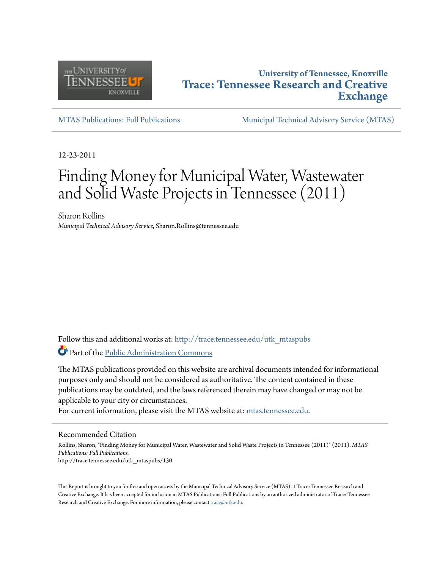

#### **University of Tennessee, Knoxville [Trace: Tennessee Research and Creative](http://trace.tennessee.edu?utm_source=trace.tennessee.edu%2Futk_mtaspubs%2F130&utm_medium=PDF&utm_campaign=PDFCoverPages) [Exchange](http://trace.tennessee.edu?utm_source=trace.tennessee.edu%2Futk_mtaspubs%2F130&utm_medium=PDF&utm_campaign=PDFCoverPages)**

[MTAS Publications: Full Publications](http://trace.tennessee.edu/utk_mtaspubs?utm_source=trace.tennessee.edu%2Futk_mtaspubs%2F130&utm_medium=PDF&utm_campaign=PDFCoverPages) [Municipal Technical Advisory Service \(MTAS\)](http://trace.tennessee.edu/utk_mtas?utm_source=trace.tennessee.edu%2Futk_mtaspubs%2F130&utm_medium=PDF&utm_campaign=PDFCoverPages)

12-23-2011

# Finding Money for Municipal Water, Wastewater and Solid Waste Projects in Tennessee (2011)

Sharon Rollins *Municipal Technical Advisory Service*, Sharon.Rollins@tennessee.edu

Follow this and additional works at: [http://trace.tennessee.edu/utk\\_mtaspubs](http://trace.tennessee.edu/utk_mtaspubs?utm_source=trace.tennessee.edu%2Futk_mtaspubs%2F130&utm_medium=PDF&utm_campaign=PDFCoverPages) Part of the [Public Administration Commons](http://network.bepress.com/hgg/discipline/398?utm_source=trace.tennessee.edu%2Futk_mtaspubs%2F130&utm_medium=PDF&utm_campaign=PDFCoverPages)

The MTAS publications provided on this website are archival documents intended for informational purposes only and should not be considered as authoritative. The content contained in these publications may be outdated, and the laws referenced therein may have changed or may not be applicable to your city or circumstances.

For current information, please visit the MTAS website at: [mtas.tennessee.edu](http://mtas.tennessee.edu).

#### Recommended Citation

Rollins, Sharon, "Finding Money for Municipal Water, Wastewater and Solid Waste Projects in Tennessee (2011)" (2011). *MTAS Publications: Full Publications.* http://trace.tennessee.edu/utk\_mtaspubs/130

This Report is brought to you for free and open access by the Municipal Technical Advisory Service (MTAS) at Trace: Tennessee Research and Creative Exchange. It has been accepted for inclusion in MTAS Publications: Full Publications by an authorized administrator of Trace: Tennessee Research and Creative Exchange. For more information, please contact [trace@utk.edu](mailto:trace@utk.edu).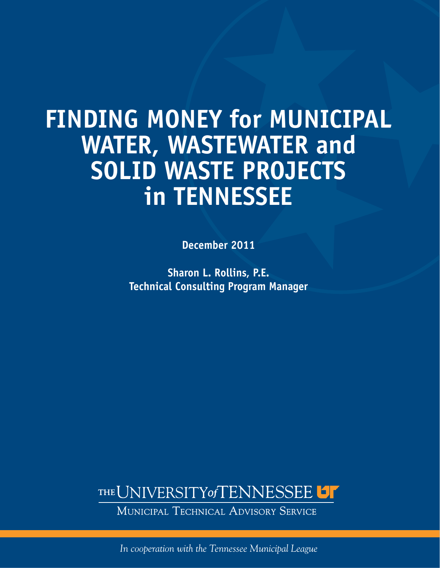# **FINDING MONEY for MUNICIPAL WATER, WASTEWATER and SOLID WASTE PROJECTS in TENNESSEE**

**December 2011**

**Sharon L. Rollins, P.E. Technical Consulting Program Manager**



MUNICIPAL TECHNICAL ADVISORY SERVICE

*In cooperation with the Tennessee Municipal League*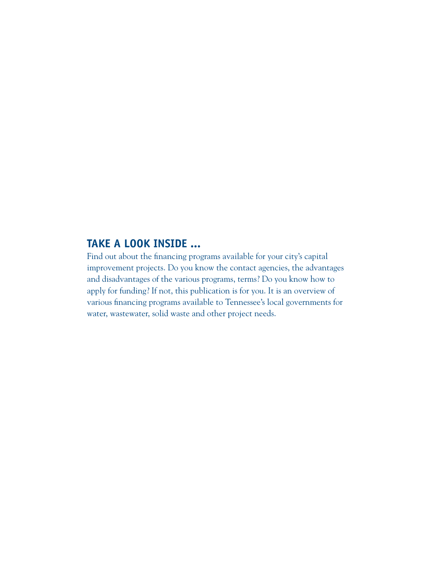# **TAKE A LOOK INSIDE ...**

Find out about the financing programs available for your city's capital improvement projects. Do you know the contact agencies, the advantages and disadvantages of the various programs, terms? Do you know how to apply for funding? If not, this publication is for you. It is an overview of various financing programs available to Tennessee's local governments for water, wastewater, solid waste and other project needs.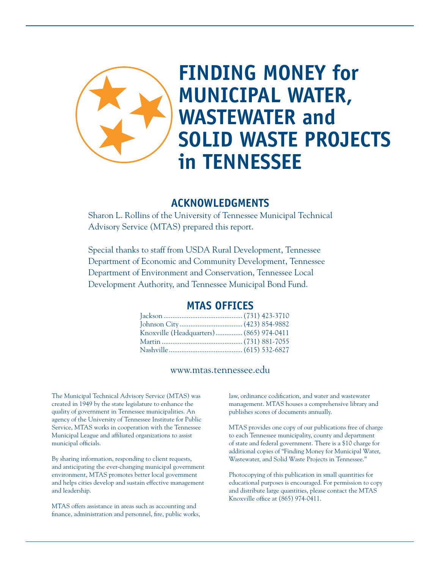

# **FINDING MONEY for MUNICIPAL WATER, WASTEWATER and SOLID WASTE PROJECTS in TENNESSEE**

#### **ACKNOWLEDGMENTS**

Sharon L. Rollins of the University of Tennessee Municipal Technical Advisory Service (MTAS) prepared this report.

Special thanks to staff from USDA Rural Development, Tennessee Department of Economic and Community Development, Tennessee Department of Environment and Conservation, Tennessee Local Development Authority, and Tennessee Municipal Bond Fund.

#### **MTAS OFFICES**

| Knoxville (Headquarters) (865) 974-0411 |  |
|-----------------------------------------|--|
|                                         |  |
|                                         |  |

#### www.mtas.tennessee.edu

The Municipal Technical Advisory Service (MTAS) was created in 1949 by the state legislature to enhance the quality of government in Tennessee municipalities. An agency of the University of Tennessee Institute for Public Service, MTAS works in cooperation with the Tennessee Municipal League and affiliated organizations to assist municipal officials.

By sharing information, responding to client requests, and anticipating the ever-changing municipal government environment, MTAS promotes better local government and helps cities develop and sustain effective management and leadership.

MTAS offers assistance in areas such as accounting and finance, administration and personnel, fire, public works, law, ordinance codification, and water and wastewater management. MTAS houses a comprehensive library and publishes scores of documents annually.

MTAS provides one copy of our publications free of charge to each Tennessee municipality, county and department of state and federal government. There is a \$10 charge for additional copies of "Finding Money for Municipal Water, Wastewater, and Solid Waste Projects in Tennessee."

Photocopying of this publication in small quantities for educational purposes is encouraged. For permission to copy and distribute large quantities, please contact the MTAS Knoxville office at (865) 974-0411.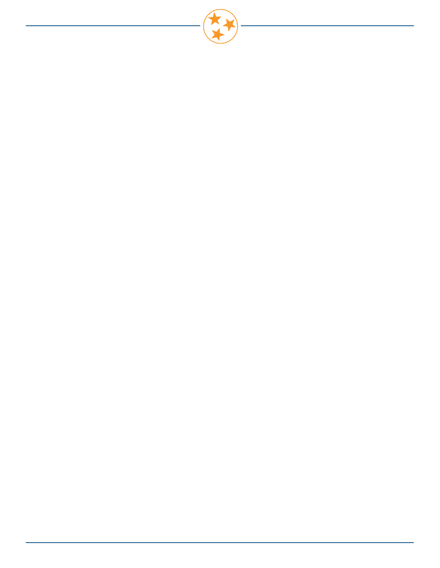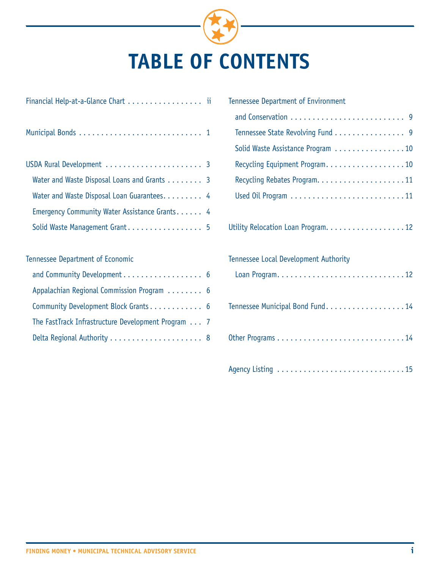# **TABLE OF CONTENTS**

| Water and Waste Disposal Loans and Grants  3  |  |
|-----------------------------------------------|--|
| Water and Waste Disposal Loan Guarantees 4    |  |
| Emergency Community Water Assistance Grants 4 |  |
|                                               |  |

Tennessee Department of Economic

| and Community Development 6                        |  |
|----------------------------------------------------|--|
| Appalachian Regional Commission Program  6         |  |
| Community Development Block Grants 6               |  |
| The FastTrack Infrastructure Development Program 7 |  |
| Delta Regional Authority  8                        |  |

| Tennessee Department of Environment   |
|---------------------------------------|
|                                       |
| Tennessee State Revolving Fund 9      |
| Solid Waste Assistance Program 10     |
| Recycling Equipment Program. 10       |
|                                       |
|                                       |
| Utility Relocation Loan Program. 12   |
| Tennessee Local Development Authority |
|                                       |
| Tennessee Municipal Bond Fund. 14     |
|                                       |
|                                       |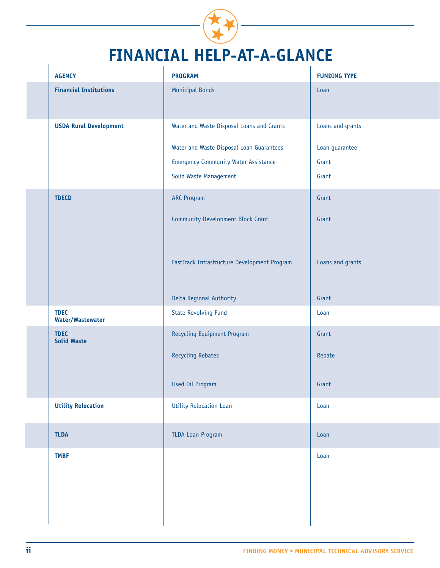# **FINANCIAL HELP-AT-A-GLANCE**

| <b>Financial Institutions</b><br><b>Municipal Bonds</b><br>Loan<br><b>USDA Rural Development</b><br>Water and Waste Disposal Loans and Grants<br>Loans and grants<br>Water and Waste Disposal Loan Guarantees<br>Loan guarantee<br><b>Emergency Community Water Assistance</b><br>Grant<br>Solid Waste Management<br>Grant<br><b>TDECD</b><br><b>ARC Program</b><br>Grant<br>Community Development Block Grant<br>Grant<br>FastTrack Infrastructure Development Program<br>Loans and grants<br>Delta Regional Authority<br>Grant<br><b>TDEC</b><br><b>State Revolving Fund</b><br>Loan<br>Water/Wastewater<br><b>TDEC</b><br>Recycling Equipment Program<br>Grant<br><b>Solid Waste</b><br><b>Recycling Rebates</b><br>Rebate<br>Used Oil Program<br>Grant<br><b>Utility Relocation</b><br>Utility Relocation Loan<br>Loan<br><b>TLDA Loan Program</b><br><b>TLDA</b><br>Loan<br><b>TMBF</b><br>Loan | <b>AGENCY</b> | <b>PROGRAM</b> | <b>FUNDING TYPE</b> |
|------------------------------------------------------------------------------------------------------------------------------------------------------------------------------------------------------------------------------------------------------------------------------------------------------------------------------------------------------------------------------------------------------------------------------------------------------------------------------------------------------------------------------------------------------------------------------------------------------------------------------------------------------------------------------------------------------------------------------------------------------------------------------------------------------------------------------------------------------------------------------------------------------|---------------|----------------|---------------------|
|                                                                                                                                                                                                                                                                                                                                                                                                                                                                                                                                                                                                                                                                                                                                                                                                                                                                                                      |               |                |                     |
|                                                                                                                                                                                                                                                                                                                                                                                                                                                                                                                                                                                                                                                                                                                                                                                                                                                                                                      |               |                |                     |
|                                                                                                                                                                                                                                                                                                                                                                                                                                                                                                                                                                                                                                                                                                                                                                                                                                                                                                      |               |                |                     |
|                                                                                                                                                                                                                                                                                                                                                                                                                                                                                                                                                                                                                                                                                                                                                                                                                                                                                                      |               |                |                     |
|                                                                                                                                                                                                                                                                                                                                                                                                                                                                                                                                                                                                                                                                                                                                                                                                                                                                                                      |               |                |                     |
|                                                                                                                                                                                                                                                                                                                                                                                                                                                                                                                                                                                                                                                                                                                                                                                                                                                                                                      |               |                |                     |
|                                                                                                                                                                                                                                                                                                                                                                                                                                                                                                                                                                                                                                                                                                                                                                                                                                                                                                      |               |                |                     |
|                                                                                                                                                                                                                                                                                                                                                                                                                                                                                                                                                                                                                                                                                                                                                                                                                                                                                                      |               |                |                     |
|                                                                                                                                                                                                                                                                                                                                                                                                                                                                                                                                                                                                                                                                                                                                                                                                                                                                                                      |               |                |                     |
|                                                                                                                                                                                                                                                                                                                                                                                                                                                                                                                                                                                                                                                                                                                                                                                                                                                                                                      |               |                |                     |
|                                                                                                                                                                                                                                                                                                                                                                                                                                                                                                                                                                                                                                                                                                                                                                                                                                                                                                      |               |                |                     |
|                                                                                                                                                                                                                                                                                                                                                                                                                                                                                                                                                                                                                                                                                                                                                                                                                                                                                                      |               |                |                     |
|                                                                                                                                                                                                                                                                                                                                                                                                                                                                                                                                                                                                                                                                                                                                                                                                                                                                                                      |               |                |                     |
|                                                                                                                                                                                                                                                                                                                                                                                                                                                                                                                                                                                                                                                                                                                                                                                                                                                                                                      |               |                |                     |
|                                                                                                                                                                                                                                                                                                                                                                                                                                                                                                                                                                                                                                                                                                                                                                                                                                                                                                      |               |                |                     |
|                                                                                                                                                                                                                                                                                                                                                                                                                                                                                                                                                                                                                                                                                                                                                                                                                                                                                                      |               |                |                     |
|                                                                                                                                                                                                                                                                                                                                                                                                                                                                                                                                                                                                                                                                                                                                                                                                                                                                                                      |               |                |                     |
|                                                                                                                                                                                                                                                                                                                                                                                                                                                                                                                                                                                                                                                                                                                                                                                                                                                                                                      |               |                |                     |
|                                                                                                                                                                                                                                                                                                                                                                                                                                                                                                                                                                                                                                                                                                                                                                                                                                                                                                      |               |                |                     |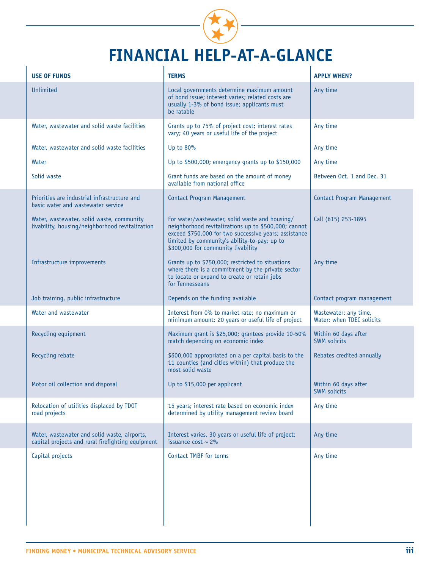# **FINANCIAL HELP-AT-A-GLANCE**

| <b>USE OF FUNDS</b>                                                                               | <b>TERMS</b>                                                                                                                                                                                                                                          | <b>APPLY WHEN?</b>                                 |
|---------------------------------------------------------------------------------------------------|-------------------------------------------------------------------------------------------------------------------------------------------------------------------------------------------------------------------------------------------------------|----------------------------------------------------|
| Unlimited                                                                                         | Local governments determine maximum amount<br>of bond issue; interest varies; related costs are<br>usually 1-3% of bond issue; applicants must<br>be ratable                                                                                          | Any time                                           |
| Water, wastewater and solid waste facilities                                                      | Grants up to 75% of project cost; interest rates<br>vary; 40 years or useful life of the project                                                                                                                                                      | Any time                                           |
| Water, wastewater and solid waste facilities                                                      | Up to 80%                                                                                                                                                                                                                                             | Any time                                           |
| Water                                                                                             | Up to \$500,000; emergency grants up to \$150,000                                                                                                                                                                                                     | Any time                                           |
| Solid waste                                                                                       | Grant funds are based on the amount of money<br>available from national office                                                                                                                                                                        | Between Oct. 1 and Dec. 31                         |
| Priorities are industrial infrastructure and<br>basic water and wastewater service                | Contact Program Management                                                                                                                                                                                                                            | <b>Contact Program Management</b>                  |
| Water, wastewater, solid waste, community<br>livability, housing/neighborhood revitalization      | For water/wastewater, solid waste and housing/<br>neighborhood revitalizations up to \$500,000; cannot<br>exceed \$750,000 for two successive years; assistance<br>limited by community's ability-to-pay; up to<br>\$300,000 for community livability | Call (615) 253-1895                                |
| Infrastructure improvements                                                                       | Grants up to \$750,000; restricted to situations<br>where there is a commitment by the private sector<br>to locate or expand to create or retain jobs<br>for Tennesseans                                                                              | Any time                                           |
| Job training, public infrastructure                                                               | Depends on the funding available                                                                                                                                                                                                                      | Contact program management                         |
| Water and wastewater                                                                              | Interest from 0% to market rate; no maximum or<br>minimum amount; 20 years or useful life of project                                                                                                                                                  | Wastewater: any time,<br>Water: when TDEC solicits |
| Recycling equipment                                                                               | Maximum grant is \$25,000; grantees provide 10-50%<br>match depending on economic index                                                                                                                                                               | Within 60 days after<br><b>SWM</b> solicits        |
| Recycling rebate                                                                                  | \$600,000 appropriated on a per capital basis to the<br>11 counties (and cities within) that produce the<br>most solid waste                                                                                                                          | Rebates credited annually                          |
| Motor oil collection and disposal                                                                 | Up to \$15,000 per applicant                                                                                                                                                                                                                          | Within 60 days after<br>SWM solicits               |
| Relocation of utilities displaced by TDOT<br>road projects                                        | 15 years; interest rate based on economic index<br>determined by utility management review board                                                                                                                                                      | Any time                                           |
| Water, wastewater and solid waste, airports,<br>capital projects and rural firefighting equipment | Interest varies, 30 years or useful life of project;<br>issuance $cost \sim 2\%$                                                                                                                                                                      | Any time                                           |
| Capital projects                                                                                  | Contact TMBF for terms                                                                                                                                                                                                                                | Any time                                           |
|                                                                                                   |                                                                                                                                                                                                                                                       |                                                    |
|                                                                                                   |                                                                                                                                                                                                                                                       |                                                    |
|                                                                                                   |                                                                                                                                                                                                                                                       |                                                    |
|                                                                                                   |                                                                                                                                                                                                                                                       |                                                    |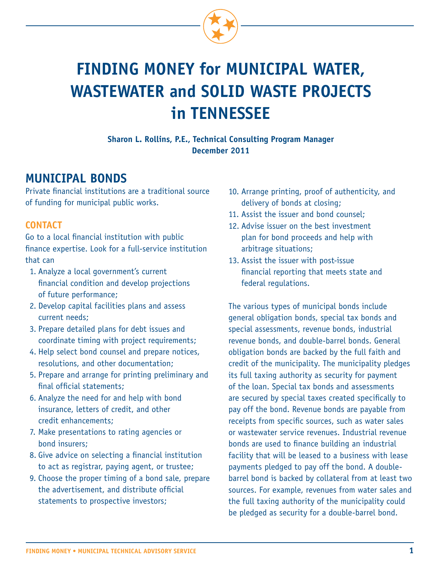

# **FINDING MONEY for MUNICIPAL WATER, WASTEWATER and SOLID WASTE PROJECTS in TENNESSEE**

**Sharon L. Rollins, P.E., Technical Consulting Program Manager December 2011**

# **MUNICIPAL BONDS**

Private financial institutions are a traditional source of funding for municipal public works.

#### **CONTACT**

Go to a local financial institution with public finance expertise. Look for a full-service institution that can

- 1. Analyze a local government's current financial condition and develop projections of future performance;
- 2. Develop capital facilities plans and assess current needs;
- 3. Prepare detailed plans for debt issues and coordinate timing with project requirements;
- 4. Help select bond counsel and prepare notices, resolutions, and other documentation;
- 5. Prepare and arrange for printing preliminary and final official statements;
- 6. Analyze the need for and help with bond insurance, letters of credit, and other credit enhancements;
- 7. Make presentations to rating agencies or bond insurers;
- 8. Give advice on selecting a financial institution to act as registrar, paying agent, or trustee;
- 9. Choose the proper timing of a bond sale, prepare the advertisement, and distribute official statements to prospective investors;
- 10. Arrange printing, proof of authenticity, and delivery of bonds at closing;
- 11. Assist the issuer and bond counsel;
- 12. Advise issuer on the best investment plan for bond proceeds and help with arbitrage situations;
- 13. Assist the issuer with post-issue financial reporting that meets state and federal regulations.

The various types of municipal bonds include general obligation bonds, special tax bonds and special assessments, revenue bonds, industrial revenue bonds, and double-barrel bonds. General obligation bonds are backed by the full faith and credit of the municipality. The municipality pledges its full taxing authority as security for payment of the loan. Special tax bonds and assessments are secured by special taxes created specifically to pay off the bond. Revenue bonds are payable from receipts from specific sources, such as water sales or wastewater service revenues. Industrial revenue bonds are used to finance building an industrial facility that will be leased to a business with lease payments pledged to pay off the bond. A doublebarrel bond is backed by collateral from at least two sources. For example, revenues from water sales and the full taxing authority of the municipality could be pledged as security for a double-barrel bond.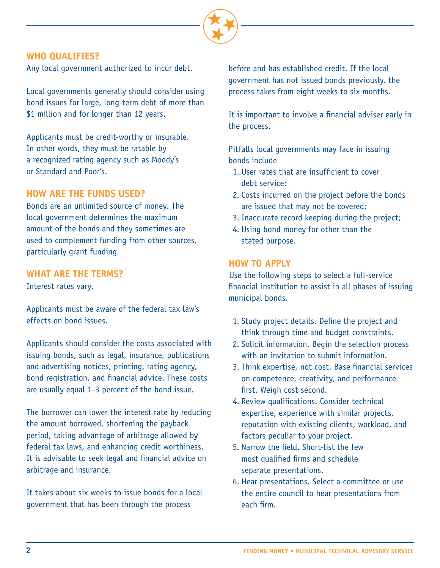

#### **WHO QUALIFIES?**

Any local government authorized to incur debt.

Local governments generally should consider using bond issues for large, long-term debt of more than \$1 million and for longer than 12 years.

Applicants must be credit-worthy or insurable. In other words, they must be ratable by a recognized rating agency such as Moody's or Standard and Poor's.

#### **HOW ARE THE FUNDS USED?**

Bonds are an unlimited source of money. The local government determines the maximum amount of the bonds and they sometimes are used to complement funding from other sources, particularly grant funding.

#### **WHAT ARE THE TERMS?**

Interest rates vary.

Applicants must be aware of the federal tax law's effects on bond issues.

Applicants should consider the costs associated with issuing bonds, such as legal, insurance, publications and advertising notices, printing, rating agency, bond registration, and financial advice. These costs are usually equal 1–3 percent of the bond issue.

The borrower can lower the interest rate by reducing the amount borrowed, shortening the payback period, taking advantage of arbitrage allowed by federal tax laws, and enhancing credit worthiness. It is advisable to seek legal and financial advice on arbitrage and insurance.

It takes about six weeks to issue bonds for a local government that has been through the process

before and has established credit. If the local government has not issued bonds previously, the process takes from eight weeks to six months.

It is important to involve a financial adviser early in the process.

Pitfalls local governments may face in issuing bonds include

- 1. User rates that are insufficient to cover debt service;
- 2. Costs incurred on the project before the bonds are issued that may not be covered;
- 3. Inaccurate record keeping during the project;
- 4. Using bond money for other than the stated purpose.

#### **HOW TO APPLY**

Use the following steps to select a full-service financial institution to assist in all phases of issuing municipal bonds.

- 1. Study project details. Define the project and think through time and budget constraints.
- 2. Solicit information. Begin the selection process with an invitation to submit information.
- 3. Think expertise, not cost. Base financial services on competence, creativity, and performance first. Weigh cost second.
- 4. Review qualifications. Consider technical expertise, experience with similar projects, reputation with existing clients, workload, and factors peculiar to your project.
- 5. Narrow the field. Short-list the few most qualified firms and schedule separate presentations.
- 6. Hear presentations. Select a committee or use the entire council to hear presentations from each firm.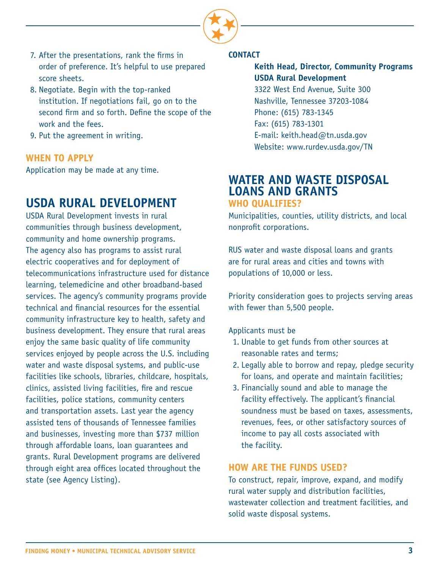

- 7. After the presentations, rank the firms in order of preference. It's helpful to use prepared score sheets.
- 8. Negotiate. Begin with the top-ranked institution. If negotiations fail, go on to the second firm and so forth. Define the scope of the work and the fees.
- 9. Put the agreement in writing.

#### **WHEN TO APPLY**

Application may be made at any time.

# **USDA RURAL DEVELOPMENT**

USDA Rural Development invests in rural communities through business development, community and home ownership programs. The agency also has programs to assist rural electric cooperatives and for deployment of telecommunications infrastructure used for distance learning, telemedicine and other broadband-based services. The agency's community programs provide technical and financial resources for the essential community infrastructure key to health, safety and business development. They ensure that rural areas enjoy the same basic quality of life community services enjoyed by people across the U.S. including water and waste disposal systems, and public-use facilities like schools, libraries, childcare, hospitals, clinics, assisted living facilities, fire and rescue facilities, police stations, community centers and transportation assets. Last year the agency assisted tens of thousands of Tennessee families and businesses, investing more than \$737 million through affordable loans, loan guarantees and grants. Rural Development programs are delivered through eight area offices located throughout the state (see Agency Listing).

#### **CONTACT**

#### **Keith Head, Director, Community Programs USDA Rural Development**

 3322 West End Avenue, Suite 300 Nashville, Tennessee 37203-1084 Phone: (615) 783-1345 Fax: (615) 783-1301 E-mail: keith.head@tn.usda.gov Website: www.rurdev.usda.gov/TN

# **WATER AND WASTE DISPOSAL LOANS AND GRANTS**

#### **WHO QUALIFIES?**

Municipalities, counties, utility districts, and local nonprofit corporations.

RUS water and waste disposal loans and grants are for rural areas and cities and towns with populations of 10,000 or less.

Priority consideration goes to projects serving areas with fewer than 5,500 people.

Applicants must be

- 1. Unable to get funds from other sources at reasonable rates and terms;
- 2. Legally able to borrow and repay, pledge security for loans, and operate and maintain facilities;
- 3. Financially sound and able to manage the facility effectively. The applicant's financial soundness must be based on taxes, assessments, revenues, fees, or other satisfactory sources of income to pay all costs associated with the facility.

#### **HOW ARE THE FUNDS USED?**

To construct, repair, improve, expand, and modify rural water supply and distribution facilities, wastewater collection and treatment facilities, and solid waste disposal systems.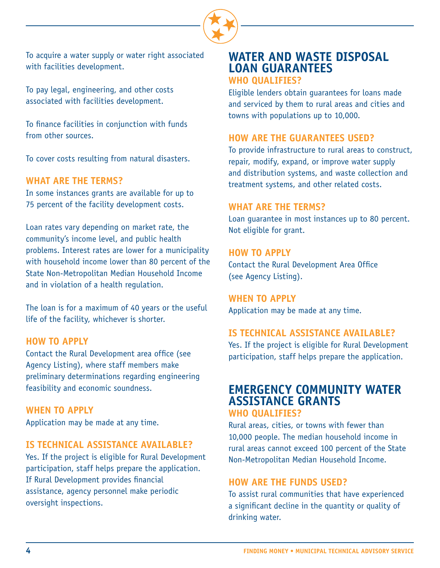

To acquire a water supply or water right associated with facilities development.

To pay legal, engineering, and other costs associated with facilities development.

To finance facilities in conjunction with funds from other sources.

To cover costs resulting from natural disasters.

#### **WHAT ARE THE TERMS?**

In some instances grants are available for up to 75 percent of the facility development costs.

Loan rates vary depending on market rate, the community's income level, and public health problems. Interest rates are lower for a municipality with household income lower than 80 percent of the State Non-Metropolitan Median Household Income and in violation of a health regulation.

The loan is for a maximum of 40 years or the useful life of the facility, whichever is shorter.

#### **HOW TO APPLY**

Contact the Rural Development area office (see Agency Listing), where staff members make preliminary determinations regarding engineering feasibility and economic soundness.

#### **WHEN TO APPLY**

Application may be made at any time.

#### **IS TECHNICAL ASSISTANCE AVAILABLE?**

Yes. If the project is eligible for Rural Development participation, staff helps prepare the application. If Rural Development provides financial assistance, agency personnel make periodic oversight inspections.

#### **WATER AND WASTE DISPOSAL LOAN GUARANTEES WHO QUALIFIES?**

Eligible lenders obtain guarantees for loans made and serviced by them to rural areas and cities and towns with populations up to 10,000.

#### **HOW ARE THE GUARANTEES USED?**

To provide infrastructure to rural areas to construct, repair, modify, expand, or improve water supply and distribution systems, and waste collection and treatment systems, and other related costs.

#### **WHAT ARE THE TERMS?**

Loan guarantee in most instances up to 80 percent. Not eligible for grant.

#### **HOW TO APPLY**

Contact the Rural Development Area Office (see Agency Listing).

#### **WHEN TO APPLY**

Application may be made at any time.

#### **IS TECHNICAL ASSISTANCE AVAILABLE?**

Yes. If the project is eligible for Rural Development participation, staff helps prepare the application.

#### **EMERGENCY COMMUNITY WATER ASSISTANCE GRANTS WHO QUALIFIES?**

Rural areas, cities, or towns with fewer than 10,000 people. The median household income in rural areas cannot exceed 100 percent of the State Non-Metropolitan Median Household Income.

#### **HOW ARE THE FUNDS USED?**

To assist rural communities that have experienced a significant decline in the quantity or quality of drinking water.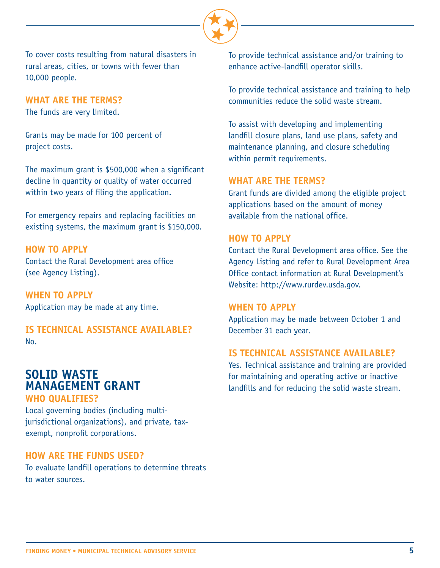

To cover costs resulting from natural disasters in rural areas, cities, or towns with fewer than 10,000 people.

#### **WHAT ARE THE TERMS?**

The funds are very limited.

Grants may be made for 100 percent of project costs.

The maximum grant is  $$500,000$  when a significant decline in quantity or quality of water occurred within two years of filing the application.

For emergency repairs and replacing facilities on existing systems, the maximum grant is \$150,000.

#### **HOW TO APPLY**

Contact the Rural Development area office (see Agency Listing).

**WHEN TO APPLY** Application may be made at any time.

**IS TECHNICAL ASSISTANCE AVAILABLE?** No.

#### **SOLID WASTE MANAGEMENT GRANT WHO QUALIFIES?**

Local governing bodies (including multijurisdictional organizations), and private, taxexempt, nonprofit corporations.

#### **HOW ARE THE FUNDS USED?**

To evaluate landfill operations to determine threats to water sources.

To provide technical assistance and/or training to enhance active-landfill operator skills.

To provide technical assistance and training to help communities reduce the solid waste stream.

To assist with developing and implementing landfill closure plans, land use plans, safety and maintenance planning, and closure scheduling within permit requirements.

#### **WHAT ARE THE TERMS?**

Grant funds are divided among the eligible project applications based on the amount of money available from the national office.

#### **HOW TO APPLY**

Contact the Rural Development area office. See the Agency Listing and refer to Rural Development Area Office contact information at Rural Development's Website: http://www.rurdev.usda.gov.

#### **WHEN TO APPLY**

Application may be made between October 1 and December 31 each year.

#### **IS TECHNICAL ASSISTANCE AVAILABLE?**

Yes. Technical assistance and training are provided for maintaining and operating active or inactive landfills and for reducing the solid waste stream.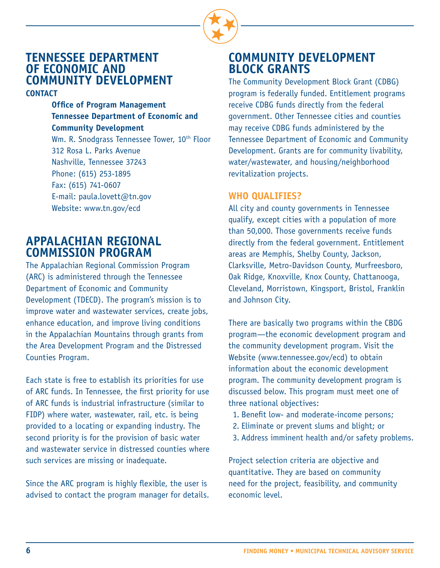

#### **TENNESSEE DEPARTMENT OF ECONOMIC AND COMMUNITY DEVELOPMENT CONTACT**

**Office of Program Management Tennessee Department of Economic and Community Development** Wm. R. Snodgrass Tennessee Tower, 10<sup>th</sup> Floor 312 Rosa L. Parks Avenue Nashville, Tennessee 37243 Phone: (615) 253-1895 Fax: (615) 741-0607 E-mail: paula.lovett@tn.gov Website: www.tn.gov/ecd

# **APPALACHIAN REGIONAL COMMISSION PROGRAM**

The Appalachian Regional Commission Program (ARC) is administered through the Tennessee Department of Economic and Community Development (TDECD). The program's mission is to improve water and wastewater services, create jobs, enhance education, and improve living conditions in the Appalachian Mountains through grants from the Area Development Program and the Distressed Counties Program.

Each state is free to establish its priorities for use of ARC funds. In Tennessee, the first priority for use of ARC funds is industrial infrastructure (similar to FIDP) where water, wastewater, rail, etc. is being provided to a locating or expanding industry. The second priority is for the provision of basic water and wastewater service in distressed counties where such services are missing or inadequate.

Since the ARC program is highly flexible, the user is advised to contact the program manager for details.

# **COMMUNITY DEVELOPMENT BLOCK GRANTS**

The Community Development Block Grant (CDBG) program is federally funded. Entitlement programs receive CDBG funds directly from the federal government. Other Tennessee cities and counties may receive CDBG funds administered by the Tennessee Department of Economic and Community Development. Grants are for community livability, water/wastewater, and housing/neighborhood revitalization projects.

#### **WHO QUALIFIES?**

All city and county governments in Tennessee qualify, except cities with a population of more than 50,000. Those governments receive funds directly from the federal government. Entitlement areas are Memphis, Shelby County, Jackson, Clarksville, Metro-Davidson County, Murfreesboro, Oak Ridge, Knoxville, Knox County, Chattanooga, Cleveland, Morristown, Kingsport, Bristol, Franklin and Johnson City.

There are basically two programs within the CBDG program—the economic development program and the community development program. Visit the Website (www.tennessee.gov/ecd) to obtain information about the economic development program. The community development program is discussed below. This program must meet one of three national objectives:

- 1. Benefit low- and moderate-income persons;
- 2. Eliminate or prevent slums and blight; or
- 3. Address imminent health and/or safety problems.

Project selection criteria are objective and quantitative. They are based on community need for the project, feasibility, and community economic level.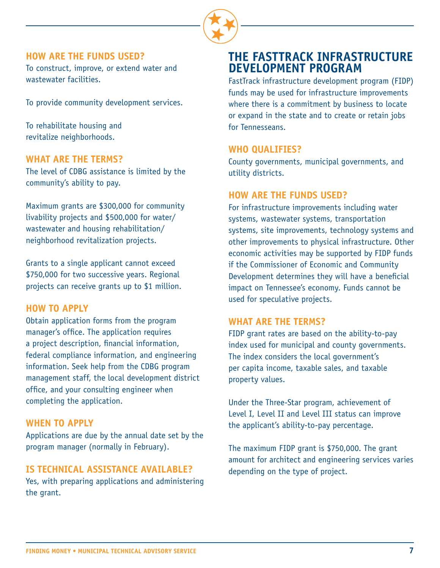

#### **HOW ARE THE FUNDS USED?**

To construct, improve, or extend water and wastewater facilities.

To provide community development services.

To rehabilitate housing and revitalize neighborhoods.

#### **WHAT ARE THE TERMS?**

The level of CDBG assistance is limited by the community's ability to pay.

Maximum grants are \$300,000 for community livability projects and \$500,000 for water/ wastewater and housing rehabilitation/ neighborhood revitalization projects.

Grants to a single applicant cannot exceed \$750,000 for two successive years. Regional projects can receive grants up to \$1 million.

#### **HOW TO APPLY**

Obtain application forms from the program manager's office. The application requires a project description, financial information, federal compliance information, and engineering information. Seek help from the CDBG program management staff, the local development district office, and your consulting engineer when completing the application.

#### **WHEN TO APPLY**

Applications are due by the annual date set by the program manager (normally in February).

#### **IS TECHNICAL ASSISTANCE AVAILABLE?**

Yes, with preparing applications and administering the grant.

# **THE FASTTRACK INFRASTRUCTURE DEVELOPMENT PROGRAM**

FastTrack infrastructure development program (FIDP) funds may be used for infrastructure improvements where there is a commitment by business to locate or expand in the state and to create or retain jobs for Tennesseans.

#### **WHO QUALIFIES?**

County governments, municipal governments, and utility districts.

#### **HOW ARE THE FUNDS USED?**

For infrastructure improvements including water systems, wastewater systems, transportation systems, site improvements, technology systems and other improvements to physical infrastructure. Other economic activities may be supported by FIDP funds if the Commissioner of Economic and Community Development determines they will have a beneficial impact on Tennessee's economy. Funds cannot be used for speculative projects.

#### **WHAT ARE THE TERMS?**

FIDP grant rates are based on the ability-to-pay index used for municipal and county governments. The index considers the local government's per capita income, taxable sales, and taxable property values.

Under the Three-Star program, achievement of Level I, Level II and Level III status can improve the applicant's ability-to-pay percentage.

The maximum FIDP grant is \$750,000. The grant amount for architect and engineering services varies depending on the type of project.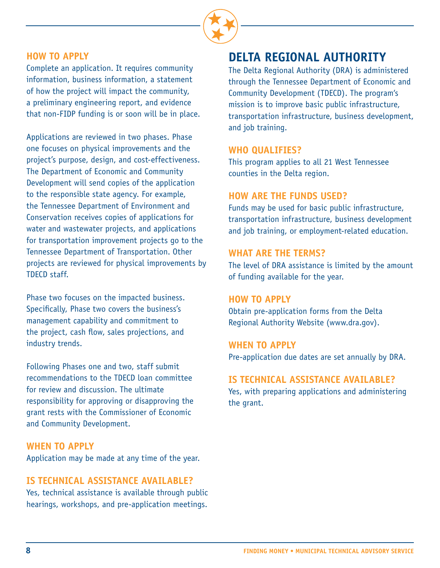

#### **HOW TO APPLY**

Complete an application. It requires community information, business information, a statement of how the project will impact the community, a preliminary engineering report, and evidence that non-FIDP funding is or soon will be in place.

Applications are reviewed in two phases. Phase one focuses on physical improvements and the project's purpose, design, and cost-effectiveness. The Department of Economic and Community Development will send copies of the application to the responsible state agency. For example, the Tennessee Department of Environment and Conservation receives copies of applications for water and wastewater projects, and applications for transportation improvement projects go to the Tennessee Department of Transportation. Other projects are reviewed for physical improvements by TDECD staff.

Phase two focuses on the impacted business. Specifically, Phase two covers the business's management capability and commitment to the project, cash flow, sales projections, and industry trends.

Following Phases one and two, staff submit recommendations to the TDECD loan committee for review and discussion. The ultimate responsibility for approving or disapproving the grant rests with the Commissioner of Economic and Community Development.

#### **WHEN TO APPLY**

Application may be made at any time of the year.

#### **IS TECHNICAL ASSISTANCE AVAILABLE?**

Yes, technical assistance is available through public hearings, workshops, and pre-application meetings.

# **DELTA REGIONAL AUTHORITY**

The Delta Regional Authority (DRA) is administered through the Tennessee Department of Economic and Community Development (TDECD). The program's mission is to improve basic public infrastructure, transportation infrastructure, business development, and job training.

#### **WHO QUALIFIES?**

This program applies to all 21 West Tennessee counties in the Delta region.

#### **HOW ARE THE FUNDS USED?**

Funds may be used for basic public infrastructure, transportation infrastructure, business development and job training, or employment-related education.

#### **WHAT ARE THE TERMS?**

The level of DRA assistance is limited by the amount of funding available for the year.

#### **HOW TO APPLY**

Obtain pre-application forms from the Delta Regional Authority Website (www.dra.gov).

#### **WHEN TO APPLY**

Pre-application due dates are set annually by DRA.

#### **IS TECHNICAL ASSISTANCE AVAILABLE?**

Yes, with preparing applications and administering the grant.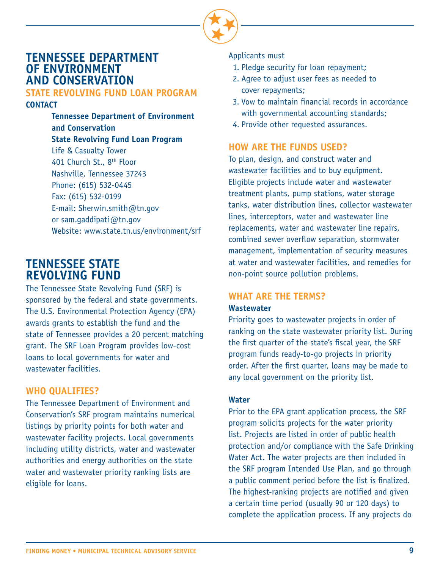

### **TENNESSEE DEPARTMENT OF ENVIRONMENT AND CONSERVATION**

#### **STATE REVOLVING FUND LOAN PROGRAM CONTACT**

**Tennessee Department of Environment and Conservation State Revolving Fund Loan Program** Life & Casualty Tower 401 Church St., 8th Floor Nashville, Tennessee 37243 Phone: (615) 532-0445 Fax: (615) 532-0199 E-mail: Sherwin.smith@tn.gov or sam.gaddipati@tn.gov Website: www.state.tn.us/environment/srf

# **TENNESSEE STATE REVOLVING FUND**

The Tennessee State Revolving Fund (SRF) is sponsored by the federal and state governments. The U.S. Environmental Protection Agency (EPA) awards grants to establish the fund and the state of Tennessee provides a 20 percent matching grant. The SRF Loan Program provides low-cost loans to local governments for water and wastewater facilities.

#### **WHO QUALIFIES?**

The Tennessee Department of Environment and Conservation's SRF program maintains numerical listings by priority points for both water and wastewater facility projects. Local governments including utility districts, water and wastewater authorities and energy authorities on the state water and wastewater priority ranking lists are eligible for loans.

#### Applicants must

- 1. Pledge security for loan repayment;
- 2. Agree to adjust user fees as needed to cover repayments;
- 3. Vow to maintain financial records in accordance with governmental accounting standards;
- 4. Provide other requested assurances.

#### **HOW ARE THE FUNDS USED?**

To plan, design, and construct water and wastewater facilities and to buy equipment. Eligible projects include water and wastewater treatment plants, pump stations, water storage tanks, water distribution lines, collector wastewater lines, interceptors, water and wastewater line replacements, water and wastewater line repairs, combined sewer overflow separation, stormwater management, implementation of security measures at water and wastewater facilities, and remedies for non-point source pollution problems.

#### **WHAT ARE THE TERMS? Wastewater**

Priority goes to wastewater projects in order of ranking on the state wastewater priority list. During the first quarter of the state's fiscal year, the SRF program funds ready-to-go projects in priority order. After the first quarter, loans may be made to any local government on the priority list.

#### **Water**

Prior to the EPA grant application process, the SRF program solicits projects for the water priority list. Projects are listed in order of public health protection and/or compliance with the Safe Drinking Water Act. The water projects are then included in the SRF program Intended Use Plan, and go through a public comment period before the list is finalized. The highest-ranking projects are notified and given a certain time period (usually 90 or 120 days) to complete the application process. If any projects do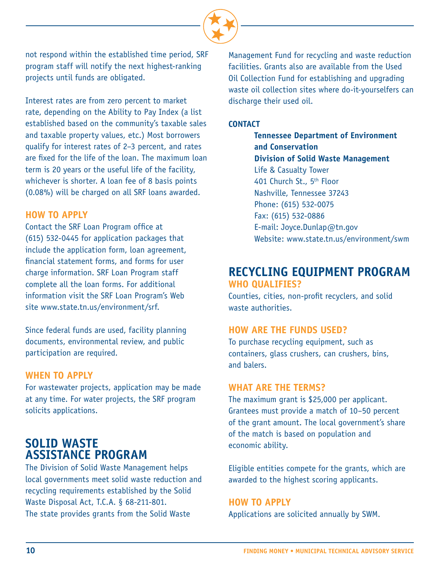not respond within the established time period, SRF program staff will notify the next highest-ranking projects until funds are obligated.

Interest rates are from zero percent to market rate, depending on the Ability to Pay Index (a list established based on the community's taxable sales and taxable property values, etc.) Most borrowers qualify for interest rates of 2–3 percent, and rates are fixed for the life of the loan. The maximum loan term is 20 years or the useful life of the facility, whichever is shorter. A loan fee of 8 basis points (0.08%) will be charged on all SRF loans awarded.

#### **HOW TO APPLY**

Contact the SRF Loan Program office at (615) 532-0445 for application packages that include the application form, loan agreement, financial statement forms, and forms for user charge information. SRF Loan Program staff complete all the loan forms. For additional information visit the SRF Loan Program's Web site www.state.tn.us/environment/srf.

Since federal funds are used, facility planning documents, environmental review, and public participation are required.

#### **WHEN TO APPLY**

For wastewater projects, application may be made at any time. For water projects, the SRF program solicits applications.

# **SOLID WASTE ASSISTANCE PROGRAM**

The Division of Solid Waste Management helps local governments meet solid waste reduction and recycling requirements established by the Solid Waste Disposal Act, T.C.A. § 68-211-801. The state provides grants from the Solid Waste

Management Fund for recycling and waste reduction facilities. Grants also are available from the Used Oil Collection Fund for establishing and upgrading waste oil collection sites where do-it-yourselfers can discharge their used oil.

#### **CONTACT**

**Tennessee Department of Environment and Conservation Division of Solid Waste Management** Life & Casualty Tower 401 Church St., 5th Floor Nashville, Tennessee 37243 Phone: (615) 532-0075 Fax: (615) 532-0886 E-mail: Joyce.Dunlap@tn.gov Website: www.state.tn.us/environment/swm

## **RECYCLING EQUIPMENT PROGRAM WHO QUALIFIES?**

Counties, cities, non-profit recyclers, and solid waste authorities.

#### **HOW ARE THE FUNDS USED?**

To purchase recycling equipment, such as containers, glass crushers, can crushers, bins, and balers.

#### **WHAT ARE THE TERMS?**

The maximum grant is \$25,000 per applicant. Grantees must provide a match of 10–50 percent of the grant amount. The local government's share of the match is based on population and economic ability.

Eligible entities compete for the grants, which are awarded to the highest scoring applicants.

#### **HOW TO APPLY**

Applications are solicited annually by SWM.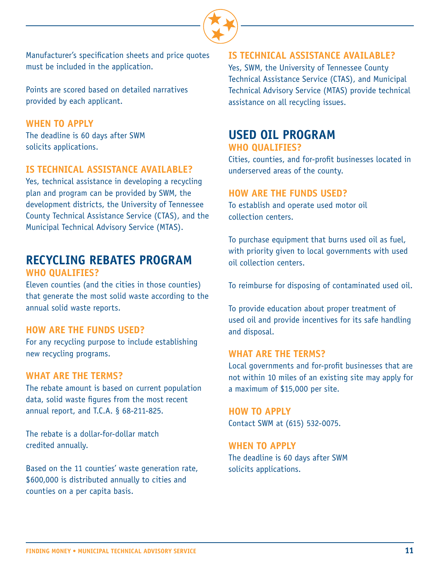Manufacturer's specification sheets and price quotes must be included in the application.

Points are scored based on detailed narratives provided by each applicant.

#### **WHEN TO APPLY**

The deadline is 60 days after SWM solicits applications.

#### **IS TECHNICAL ASSISTANCE AVAILABLE?**

Yes, technical assistance in developing a recycling plan and program can be provided by SWM, the development districts, the University of Tennessee County Technical Assistance Service (CTAS), and the Municipal Technical Advisory Service (MTAS).

#### **RECYCLING REBATES PROGRAM WHO QUALIFIES?**

Eleven counties (and the cities in those counties) that generate the most solid waste according to the annual solid waste reports.

#### **HOW ARE THE FUNDS USED?**

For any recycling purpose to include establishing new recycling programs.

#### **WHAT ARE THE TERMS?**

The rebate amount is based on current population data, solid waste figures from the most recent annual report, and T.C.A. § 68-211-825.

The rebate is a dollar-for-dollar match credited annually.

Based on the 11 counties' waste generation rate, \$600,000 is distributed annually to cities and counties on a per capita basis.

#### **IS TECHNICAL ASSISTANCE AVAILABLE?**

Yes, SWM, the University of Tennessee County Technical Assistance Service (CTAS), and Municipal Technical Advisory Service (MTAS) provide technical assistance on all recycling issues.

#### **USED OIL PROGRAM WHO QUALIFIES?**

Cities, counties, and for-profit businesses located in underserved areas of the county.

#### **HOW ARE THE FUNDS USED?**

To establish and operate used motor oil collection centers.

To purchase equipment that burns used oil as fuel, with priority given to local governments with used oil collection centers.

To reimburse for disposing of contaminated used oil.

To provide education about proper treatment of used oil and provide incentives for its safe handling and disposal.

#### **WHAT ARE THE TERMS?**

Local governments and for-profit businesses that are not within 10 miles of an existing site may apply for a maximum of \$15,000 per site.

#### **HOW TO APPLY**

Contact SWM at (615) 532-0075.

#### **WHEN TO APPLY**

The deadline is 60 days after SWM solicits applications.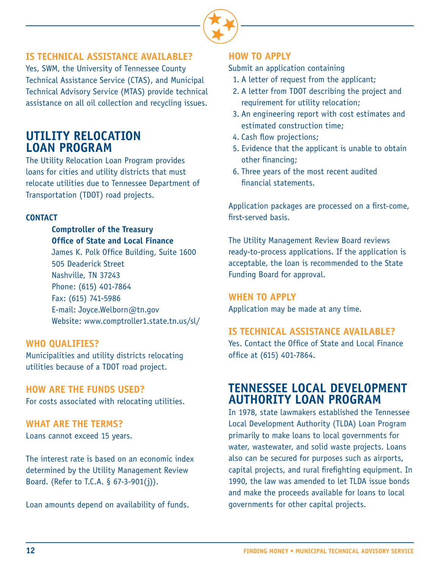

#### **IS TECHNICAL ASSISTANCE AVAILABLE?**

Yes, SWM, the University of Tennessee County Technical Assistance Service (CTAS), and Municipal Technical Advisory Service (MTAS) provide technical assistance on all oil collection and recycling issues.

# **UTILITY RELOCATION LOAN PROGRAM**

The Utility Relocation Loan Program provides loans for cities and utility districts that must relocate utilities due to Tennessee Department of Transportation (TDOT) road projects.

#### **CONTACT**

#### **Comptroller of the Treasury Office of State and Local Finance**

James K. Polk Office Building, Suite 1600 505 Deaderick Street Nashville, TN 37243 Phone: (615) 401-7864 Fax: (615) 741-5986 E-mail: Joyce.Welborn@tn.gov Website: www.comptroller1.state.tn.us/sl/

#### **WHO QUALIFIES?**

Municipalities and utility districts relocating utilities because of a TDOT road project.

#### **HOW ARE THE FUNDS USED?**

For costs associated with relocating utilities.

#### **WHAT ARE THE TERMS?**

Loans cannot exceed 15 years.

The interest rate is based on an economic index determined by the Utility Management Review Board. (Refer to T.C.A. § 67-3-901(j)).

Loan amounts depend on availability of funds.

#### **HOW TO APPLY**

Submit an application containing

- 1. A letter of request from the applicant;
- 2. A letter from TDOT describing the project and requirement for utility relocation;
- 3. An engineering report with cost estimates and estimated construction time;
- 4. Cash flow projections;
- 5. Evidence that the applicant is unable to obtain other financing;
- 6. Three years of the most recent audited financial statements.

Application packages are processed on a first-come, first-served basis.

The Utility Management Review Board reviews ready-to-process applications. If the application is acceptable, the loan is recommended to the State Funding Board for approval.

#### **WHEN TO APPLY**

Application may be made at any time.

#### **IS TECHNICAL ASSISTANCE AVAILABLE?**

Yes. Contact the Office of State and Local Finance office at (615) 401-7864.

# **TENNESSEE LOCAL DEVELOPMENT AUTHORITY LOAN PROGRAM**

In 1978, state lawmakers established the Tennessee Local Development Authority (TLDA) Loan Program primarily to make loans to local governments for water, wastewater, and solid waste projects. Loans also can be secured for purposes such as airports, capital projects, and rural firefighting equipment. In 1990, the law was amended to let TLDA issue bonds and make the proceeds available for loans to local governments for other capital projects.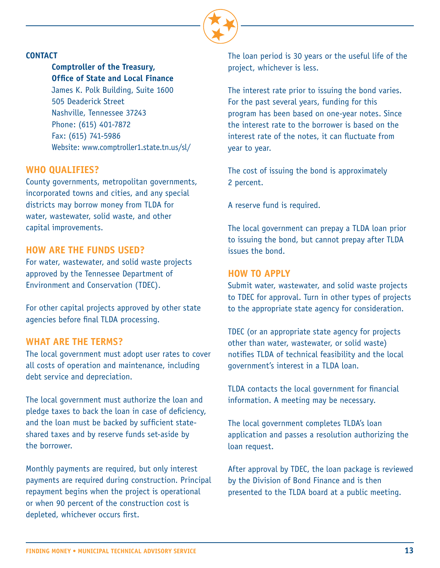

#### **CONTACT**

#### **Comptroller of the Treasury, Office of State and Local Finance**

 James K. Polk Building, Suite 1600 505 Deaderick Street Nashville, Tennessee 37243 Phone: (615) 401-7872 Fax: (615) 741-5986 Website: www.comptroller1.state.tn.us/sl/

#### **WHO QUALIFIES?**

County governments, metropolitan governments, incorporated towns and cities, and any special districts may borrow money from TLDA for water, wastewater, solid waste, and other capital improvements.

#### **HOW ARE THE FUNDS USED?**

For water, wastewater, and solid waste projects approved by the Tennessee Department of Environment and Conservation (TDEC).

For other capital projects approved by other state agencies before final TLDA processing.

#### **WHAT ARE THE TERMS?**

The local government must adopt user rates to cover all costs of operation and maintenance, including debt service and depreciation.

The local government must authorize the loan and pledge taxes to back the loan in case of deficiency, and the loan must be backed by sufficient stateshared taxes and by reserve funds set-aside by the borrower.

Monthly payments are required, but only interest payments are required during construction. Principal repayment begins when the project is operational or when 90 percent of the construction cost is depleted, whichever occurs first.

The loan period is 30 years or the useful life of the project, whichever is less.

The interest rate prior to issuing the bond varies. For the past several years, funding for this program has been based on one-year notes. Since the interest rate to the borrower is based on the interest rate of the notes, it can fluctuate from year to year.

The cost of issuing the bond is approximately 2 percent.

A reserve fund is required.

The local government can prepay a TLDA loan prior to issuing the bond, but cannot prepay after TLDA issues the bond.

#### **HOW TO APPLY**

Submit water, wastewater, and solid waste projects to TDEC for approval. Turn in other types of projects to the appropriate state agency for consideration.

TDEC (or an appropriate state agency for projects other than water, wastewater, or solid waste) notifies TLDA of technical feasibility and the local government's interest in a TLDA loan.

TLDA contacts the local government for financial information. A meeting may be necessary.

The local government completes TLDA's loan application and passes a resolution authorizing the loan request.

After approval by TDEC, the loan package is reviewed by the Division of Bond Finance and is then presented to the TLDA board at a public meeting.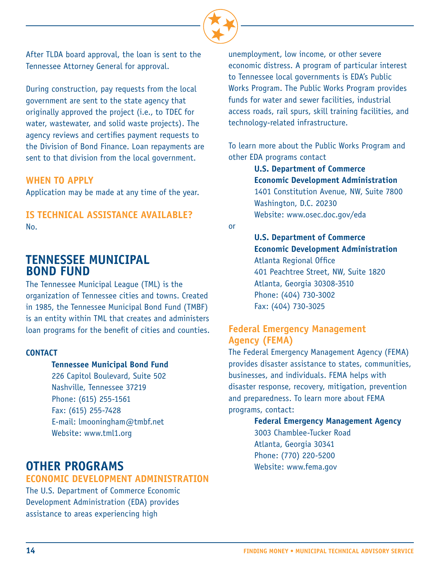After TLDA board approval, the loan is sent to the Tennessee Attorney General for approval.

During construction, pay requests from the local government are sent to the state agency that originally approved the project (i.e., to TDEC for water, wastewater, and solid waste projects). The agency reviews and certifies payment requests to the Division of Bond Finance. Loan repayments are sent to that division from the local government.

#### **WHEN TO APPLY**

Application may be made at any time of the year.

**IS TECHNICAL ASSISTANCE AVAILABLE?** No.

### **TENNESSEE MUNICIPAL BOND FUND**

The Tennessee Municipal League (TML) is the organization of Tennessee cities and towns. Created in 1985, the Tennessee Municipal Bond Fund (TMBF) is an entity within TML that creates and administers loan programs for the benefit of cities and counties.

#### **CONTACT**

#### **Tennessee Municipal Bond Fund**

 226 Capitol Boulevard, Suite 502 Nashville, Tennessee 37219 Phone: (615) 255-1561 Fax: (615) 255-7428 E-mail: lmooningham@tmbf.net Website: www.tml1.org

### **OTHER PROGRAMS ECONOMIC DEVELOPMENT ADMINISTRATION**

The U.S. Department of Commerce Economic Development Administration (EDA) provides assistance to areas experiencing high

unemployment, low income, or other severe economic distress. A program of particular interest to Tennessee local governments is EDA's Public Works Program. The Public Works Program provides funds for water and sewer facilities, industrial access roads, rail spurs, skill training facilities, and technology-related infrastructure.

To learn more about the Public Works Program and other EDA programs contact

> **U.S. Department of Commerce Economic Development Administration** 1401 Constitution Avenue, NW, Suite 7800 Washington, D.C. 20230 Website: www.osec.doc.gov/eda

or

# **U.S. Department of Commerce Economic Development Administration**

Atlanta Regional Office 401 Peachtree Street, NW, Suite 1820 Atlanta, Georgia 30308-3510 Phone: (404) 730-3002 Fax: (404) 730-3025

#### **Federal Emergency Management Agency (FEMA)**

The Federal Emergency Management Agency (FEMA) provides disaster assistance to states, communities, businesses, and individuals. FEMA helps with disaster response, recovery, mitigation, prevention and preparedness. To learn more about FEMA programs, contact:

> **Federal Emergency Management Agency** 3003 Chamblee-Tucker Road Atlanta, Georgia 30341 Phone: (770) 220-5200

Website: www.fema.gov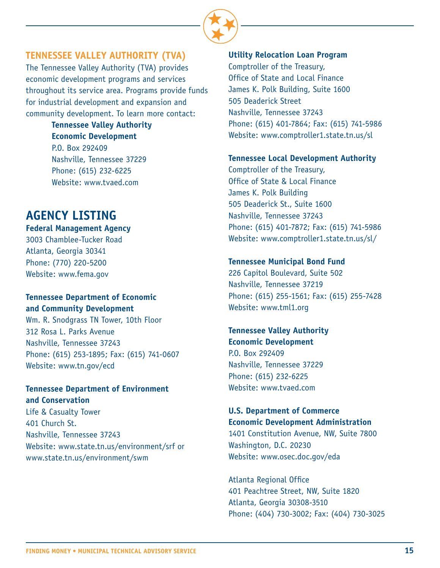

## **TENNESSEE VALLEY AUTHORITY (TVA)**

The Tennessee Valley Authority (TVA) provides economic development programs and services throughout its service area. Programs provide funds for industrial development and expansion and community development. To learn more contact:

# **Tennessee Valley Authority Economic Development** P.O. Box 292409 Nashville, Tennessee 37229

 Phone: (615) 232-6225 Website: www.tvaed.com

# **AGENCY LISTING**

#### **Federal Management Agency**

3003 Chamblee-Tucker Road Atlanta, Georgia 30341 Phone: (770) 220-5200 Website: www.fema.gov

#### **Tennessee Department of Economic and Community Development**

Wm. R. Snodgrass TN Tower, 10th Floor 312 Rosa L. Parks Avenue Nashville, Tennessee 37243 Phone: (615) 253-1895; Fax: (615) 741-0607 Website: www.tn.gov/ecd

#### **Tennessee Department of Environment and Conservation**

Life & Casualty Tower 401 Church St. Nashville, Tennessee 37243 Website: www.state.tn.us/environment/srf or www.state.tn.us/environment/swm

#### **Utility Relocation Loan Program**

Comptroller of the Treasury, Office of State and Local Finance James K. Polk Building, Suite 1600 505 Deaderick Street Nashville, Tennessee 37243 Phone: (615) 401-7864; Fax: (615) 741-5986 Website: www.comptroller1.state.tn.us/sl

#### **Tennessee Local Development Authority**

Comptroller of the Treasury, Office of State & Local Finance James K. Polk Building 505 Deaderick St., Suite 1600 Nashville, Tennessee 37243 Phone: (615) 401-7872; Fax: (615) 741-5986 Website: www.comptroller1.state.tn.us/sl/

#### **Tennessee Municipal Bond Fund**

226 Capitol Boulevard, Suite 502 Nashville, Tennessee 37219 Phone: (615) 255-1561; Fax: (615) 255-7428 Website: www.tml1.org

#### **Tennessee Valley Authority Economic Development**

P.O. Box 292409 Nashville, Tennessee 37229 Phone: (615) 232-6225 Website: www.tvaed.com

#### **U.S. Department of Commerce Economic Development Administration**

1401 Constitution Avenue, NW, Suite 7800 Washington, D.C. 20230 Website: www.osec.doc.gov/eda

Atlanta Regional Office 401 Peachtree Street, NW, Suite 1820 Atlanta, Georgia 30308-3510 Phone: (404) 730-3002; Fax: (404) 730-3025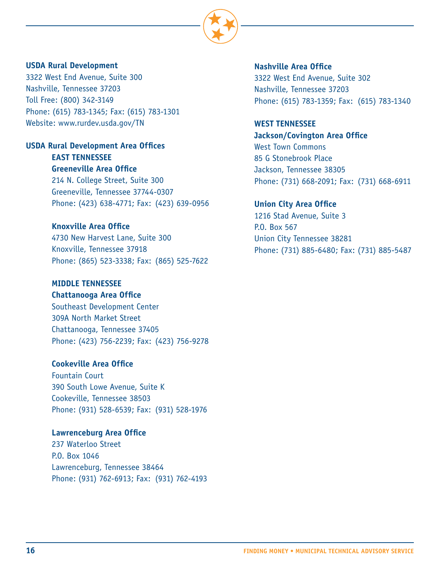

#### **USDA Rural Development**

3322 West End Avenue, Suite 300 Nashville, Tennessee 37203 Toll Free: (800) 342-3149 Phone: (615) 783-1345; Fax: (615) 783-1301 Website: www.rurdev.usda.gov/TN

#### **USDA Rural Development Area Offices EAST TENNESSEE**

**Greeneville Area Office**  214 N. College Street, Suite 300 Greeneville, Tennessee 37744-0307 Phone: (423) 638-4771; Fax: (423) 639-0956

#### **Knoxville Area Office**

 4730 New Harvest Lane, Suite 300 Knoxville, Tennessee 37918 Phone: (865) 523-3338; Fax: (865) 525-7622

#### **MIDDLE TENNESSEE**

#### **Chattanooga Area Office**

 Southeast Development Center 309A North Market Street Chattanooga, Tennessee 37405 Phone: (423) 756-2239; Fax: (423) 756-9278

#### **Cookeville Area Office**

 Fountain Court 390 South Lowe Avenue, Suite K Cookeville, Tennessee 38503 Phone: (931) 528-6539; Fax: (931) 528-1976

#### **Lawrenceburg Area Office**

 237 Waterloo Street P.O. Box 1046 Lawrenceburg, Tennessee 38464 Phone: (931) 762-6913; Fax: (931) 762-4193 **Nashville Area Office**  3322 West End Avenue, Suite 302 Nashville, Tennessee 37203 Phone: (615) 783-1359; Fax: (615) 783-1340

#### **WEST TENNESSEE**

**Jackson/Covington Area Office**  West Town Commons 85 G Stonebrook Place Jackson, Tennessee 38305 Phone: (731) 668-2091; Fax: (731) 668-6911

#### **Union City Area Office**

 1216 Stad Avenue, Suite 3 P.O. Box 567 Union City Tennessee 38281 Phone: (731) 885-6480; Fax: (731) 885-5487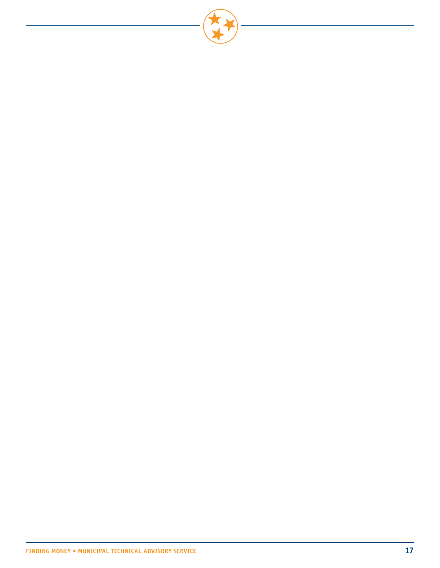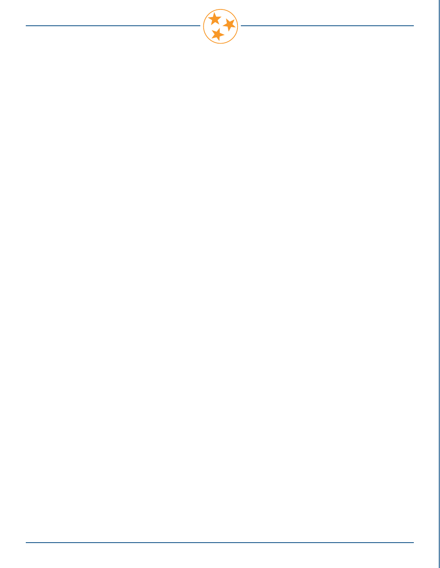